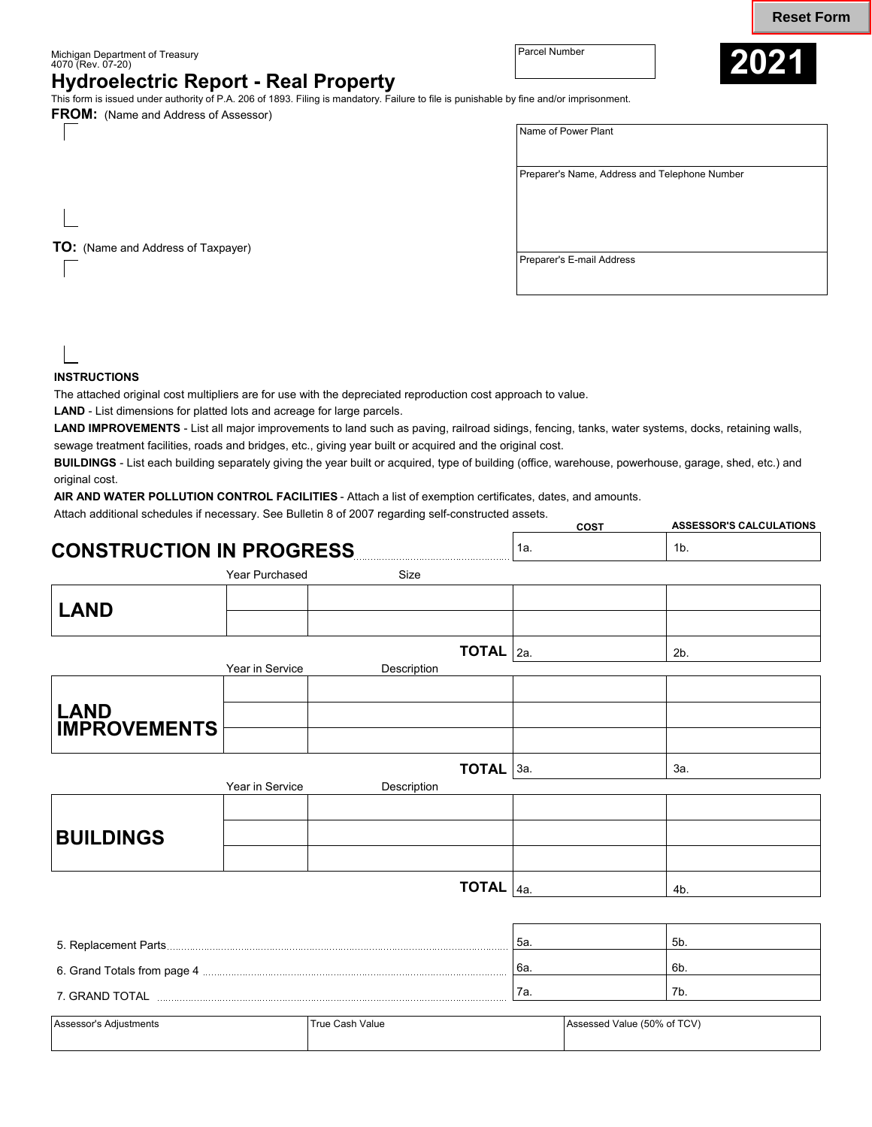Michigan Department of Treasury Parcel Number 4070 (Rev. 07-20)

**COST** 

7a. 7b.



**ASSESSOR'S CALCULATIONS** 

## **Hydroelectric Report - Real Property**

This form is issued under authority of P.A. 206 of 1893. Filing is mandatory. Failure to file is punishable by fine and/or imprisonment.

**FROM:** (Name and Address of Assessor)

**TO:** (Name and Address of Taxpayer)

| Name of Power Plant                           |  |
|-----------------------------------------------|--|
| Preparer's Name, Address and Telephone Number |  |
| Preparer's E-mail Address                     |  |

**INSTRUCTIONS** 

The attached original cost multipliers are for use with the depreciated reproduction cost approach to value.

**LAND** - List dimensions for platted lots and acreage for large parcels.

**LAND IMPROVEMENTS** - List all major improvements to land such as paving, railroad sidings, fencing, tanks, water systems, docks, retaining walls, sewage treatment facilities, roads and bridges, etc., giving year built or acquired and the original cost.

**BUILDINGS** - List each building separately giving the year built or acquired, type of building (office, warehouse, powerhouse, garage, shed, etc.) and original cost.

**AIR AND WATER POLLUTION CONTROL FACILITIES** - Attach a list of exemption certificates, dates, and amounts.

Attach additional schedules if necessary. See Bulletin 8 of 2007 regarding self-constructed assets.

7. GRAND TOTAL

|                                                                                                                                                                                                                                |                 |              | uu ji | יייסויים שבעיט שיש |
|--------------------------------------------------------------------------------------------------------------------------------------------------------------------------------------------------------------------------------|-----------------|--------------|-------|--------------------|
| <b>CONSTRUCTION IN PROGRESS</b>                                                                                                                                                                                                |                 |              | 1a.   | 1 <sub>b</sub>     |
|                                                                                                                                                                                                                                | Year Purchased  | Size         |       |                    |
| <b>LAND</b>                                                                                                                                                                                                                    |                 |              |       |                    |
|                                                                                                                                                                                                                                |                 | <b>TOTAL</b> | 2a.   | 2 <sub>b</sub>     |
|                                                                                                                                                                                                                                | Year in Service | Description  |       |                    |
| <b>LAND<br/>IMPROVEMENTS</b>                                                                                                                                                                                                   |                 |              |       |                    |
|                                                                                                                                                                                                                                |                 |              |       |                    |
|                                                                                                                                                                                                                                |                 | TOTAL 3a.    |       | За.                |
|                                                                                                                                                                                                                                | Year in Service | Description  |       |                    |
|                                                                                                                                                                                                                                |                 |              |       |                    |
| <b>BUILDINGS</b>                                                                                                                                                                                                               |                 |              |       |                    |
|                                                                                                                                                                                                                                |                 |              |       |                    |
|                                                                                                                                                                                                                                |                 | <b>TOTAL</b> | 4a.   | 4b.                |
|                                                                                                                                                                                                                                |                 |              |       |                    |
| 5. Replacement Parts                                                                                                                                                                                                           |                 |              | 5a.   | 5 <sub>b</sub>     |
| 6. Grand Totals from page 4 [11] Manuscript Research Manuscript Research Manuscript Research Manuscript Research Manuscript Research Manuscript Research Manuscript Research Manuscript Research Manuscript Research Manuscrip |                 |              | 6a.   | 6b.                |

| Assessor's Adiustments | True Cash Value | Assessed Value (50% of TCV) |
|------------------------|-----------------|-----------------------------|
|                        |                 |                             |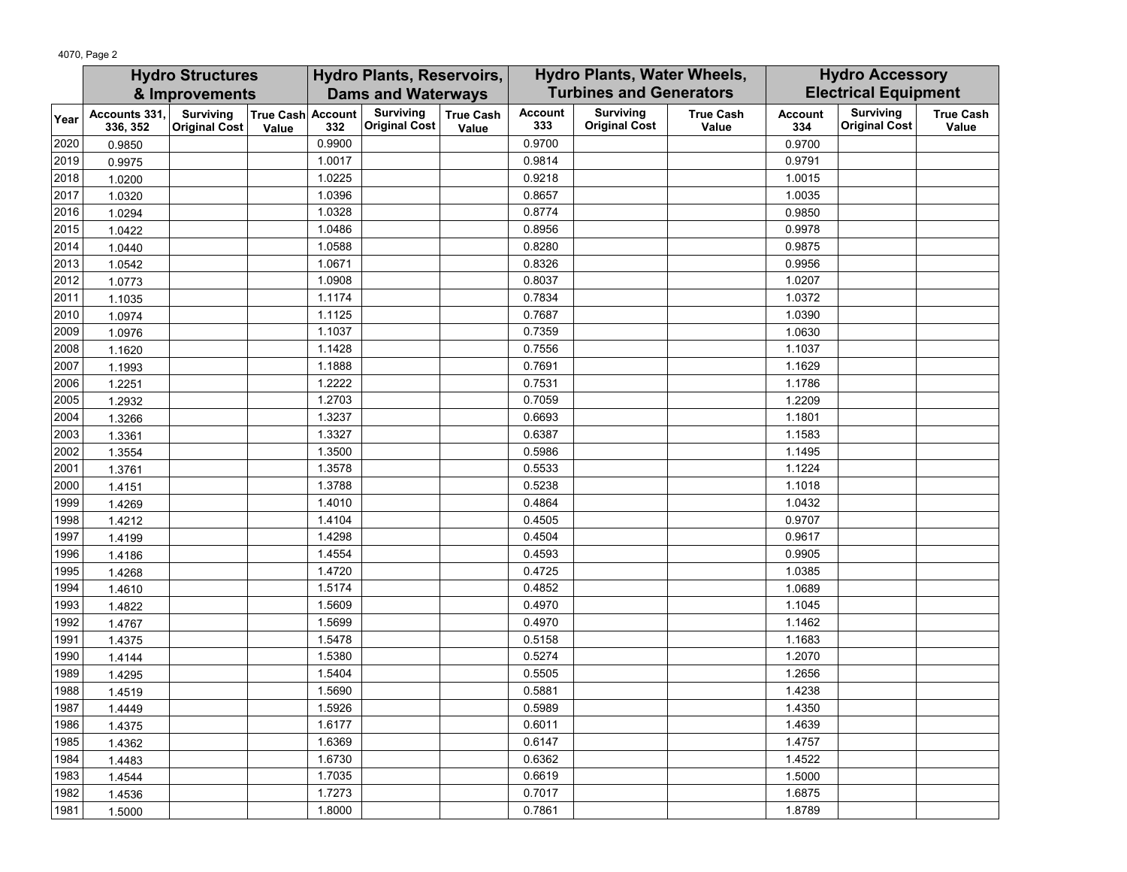|      | <b>Hydro Structures</b>   |                                             | <b>Hydro Plants, Reservoirs,</b> |                                |                                          |                           | Hydro Plants, Water Wheels, |                                          | <b>Hydro Accessory</b>    |                       |                                          |                           |
|------|---------------------------|---------------------------------------------|----------------------------------|--------------------------------|------------------------------------------|---------------------------|-----------------------------|------------------------------------------|---------------------------|-----------------------|------------------------------------------|---------------------------|
|      |                           | & Improvements<br><b>Dams and Waterways</b> |                                  | <b>Turbines and Generators</b> |                                          |                           | <b>Electrical Equipment</b> |                                          |                           |                       |                                          |                           |
| Year | Accounts 331,<br>336, 352 | Surviving<br><b>Original Cost</b>           | True Cash Account<br>Value       | 332                            | <b>Surviving</b><br><b>Original Cost</b> | <b>True Cash</b><br>Value | <b>Account</b><br>333       | <b>Surviving</b><br><b>Original Cost</b> | <b>True Cash</b><br>Value | <b>Account</b><br>334 | <b>Surviving</b><br><b>Original Cost</b> | <b>True Cash</b><br>Value |
| 2020 | 0.9850                    |                                             |                                  | 0.9900                         |                                          |                           | 0.9700                      |                                          |                           | 0.9700                |                                          |                           |
| 2019 | 0.9975                    |                                             |                                  | 1.0017                         |                                          |                           | 0.9814                      |                                          |                           | 0.9791                |                                          |                           |
| 2018 | 1.0200                    |                                             |                                  | 1.0225                         |                                          |                           | 0.9218                      |                                          |                           | 1.0015                |                                          |                           |
| 2017 | 1.0320                    |                                             |                                  | 1.0396                         |                                          |                           | 0.8657                      |                                          |                           | 1.0035                |                                          |                           |
| 2016 | 1.0294                    |                                             |                                  | 1.0328                         |                                          |                           | 0.8774                      |                                          |                           | 0.9850                |                                          |                           |
| 2015 | 1.0422                    |                                             |                                  | 1.0486                         |                                          |                           | 0.8956                      |                                          |                           | 0.9978                |                                          |                           |
| 2014 | 1.0440                    |                                             |                                  | 1.0588                         |                                          |                           | 0.8280                      |                                          |                           | 0.9875                |                                          |                           |
| 2013 | 1.0542                    |                                             |                                  | 1.0671                         |                                          |                           | 0.8326                      |                                          |                           | 0.9956                |                                          |                           |
| 2012 | 1.0773                    |                                             |                                  | 1.0908                         |                                          |                           | 0.8037                      |                                          |                           | 1.0207                |                                          |                           |
| 2011 | 1.1035                    |                                             |                                  | 1.1174                         |                                          |                           | 0.7834                      |                                          |                           | 1.0372                |                                          |                           |
| 2010 | 1.0974                    |                                             |                                  | 1.1125                         |                                          |                           | 0.7687                      |                                          |                           | 1.0390                |                                          |                           |
| 2009 | 1.0976                    |                                             |                                  | 1.1037                         |                                          |                           | 0.7359                      |                                          |                           | 1.0630                |                                          |                           |
| 2008 | 1.1620                    |                                             |                                  | 1.1428                         |                                          |                           | 0.7556                      |                                          |                           | 1.1037                |                                          |                           |
| 2007 | 1.1993                    |                                             |                                  | 1.1888                         |                                          |                           | 0.7691                      |                                          |                           | 1.1629                |                                          |                           |
| 2006 | 1.2251                    |                                             |                                  | 1.2222                         |                                          |                           | 0.7531                      |                                          |                           | 1.1786                |                                          |                           |
| 2005 | 1.2932                    |                                             |                                  | 1.2703                         |                                          |                           | 0.7059                      |                                          |                           | 1.2209                |                                          |                           |
| 2004 | 1.3266                    |                                             |                                  | 1.3237                         |                                          |                           | 0.6693                      |                                          |                           | 1.1801                |                                          |                           |
| 2003 | 1.3361                    |                                             |                                  | 1.3327                         |                                          |                           | 0.6387                      |                                          |                           | 1.1583                |                                          |                           |
| 2002 | 1.3554                    |                                             |                                  | 1.3500                         |                                          |                           | 0.5986                      |                                          |                           | 1.1495                |                                          |                           |
| 2001 | 1.3761                    |                                             |                                  | 1.3578                         |                                          |                           | 0.5533                      |                                          |                           | 1.1224                |                                          |                           |
| 2000 | 1.4151                    |                                             |                                  | 1.3788                         |                                          |                           | 0.5238                      |                                          |                           | 1.1018                |                                          |                           |
| 1999 | 1.4269                    |                                             |                                  | 1.4010                         |                                          |                           | 0.4864                      |                                          |                           | 1.0432                |                                          |                           |
| 1998 | 1.4212                    |                                             |                                  | 1.4104                         |                                          |                           | 0.4505                      |                                          |                           | 0.9707                |                                          |                           |
| 1997 | 1.4199                    |                                             |                                  | 1.4298                         |                                          |                           | 0.4504                      |                                          |                           | 0.9617                |                                          |                           |
| 1996 | 1.4186                    |                                             |                                  | 1.4554                         |                                          |                           | 0.4593                      |                                          |                           | 0.9905                |                                          |                           |
| 1995 | 1.4268                    |                                             |                                  | 1.4720                         |                                          |                           | 0.4725                      |                                          |                           | 1.0385                |                                          |                           |
| 1994 | 1.4610                    |                                             |                                  | 1.5174                         |                                          |                           | 0.4852                      |                                          |                           | 1.0689                |                                          |                           |
| 1993 | 1.4822                    |                                             |                                  | 1.5609                         |                                          |                           | 0.4970                      |                                          |                           | 1.1045                |                                          |                           |
| 1992 | 1.4767                    |                                             |                                  | 1.5699                         |                                          |                           | 0.4970                      |                                          |                           | 1.1462                |                                          |                           |
| 1991 | 1.4375                    |                                             |                                  | 1.5478                         |                                          |                           | 0.5158                      |                                          |                           | 1.1683                |                                          |                           |
| 1990 | 1.4144                    |                                             |                                  | 1.5380                         |                                          |                           | 0.5274                      |                                          |                           | 1.2070                |                                          |                           |
| 1989 | 1.4295                    |                                             |                                  | 1.5404                         |                                          |                           | 0.5505                      |                                          |                           | 1.2656                |                                          |                           |
| 1988 | 1.4519                    |                                             |                                  | 1.5690                         |                                          |                           | 0.5881                      |                                          |                           | 1.4238                |                                          |                           |
| 1987 | 1.4449                    |                                             |                                  | 1.5926                         |                                          |                           | 0.5989                      |                                          |                           | 1.4350                |                                          |                           |
| 1986 | 1.4375                    |                                             |                                  | 1.6177                         |                                          |                           | 0.6011                      |                                          |                           | 1.4639                |                                          |                           |
| 1985 | 1.4362                    |                                             |                                  | 1.6369                         |                                          |                           | 0.6147                      |                                          |                           | 1.4757                |                                          |                           |
| 1984 | 1.4483                    |                                             |                                  | 1.6730                         |                                          |                           | 0.6362                      |                                          |                           | 1.4522                |                                          |                           |
| 1983 | 1.4544                    |                                             |                                  | 1.7035                         |                                          |                           | 0.6619                      |                                          |                           | 1.5000                |                                          |                           |
| 1982 | 1.4536                    |                                             |                                  | 1.7273                         |                                          |                           | 0.7017                      |                                          |                           | 1.6875                |                                          |                           |
| 1981 | 1.5000                    |                                             |                                  | 1.8000                         |                                          |                           | 0.7861                      |                                          |                           | 1.8789                |                                          |                           |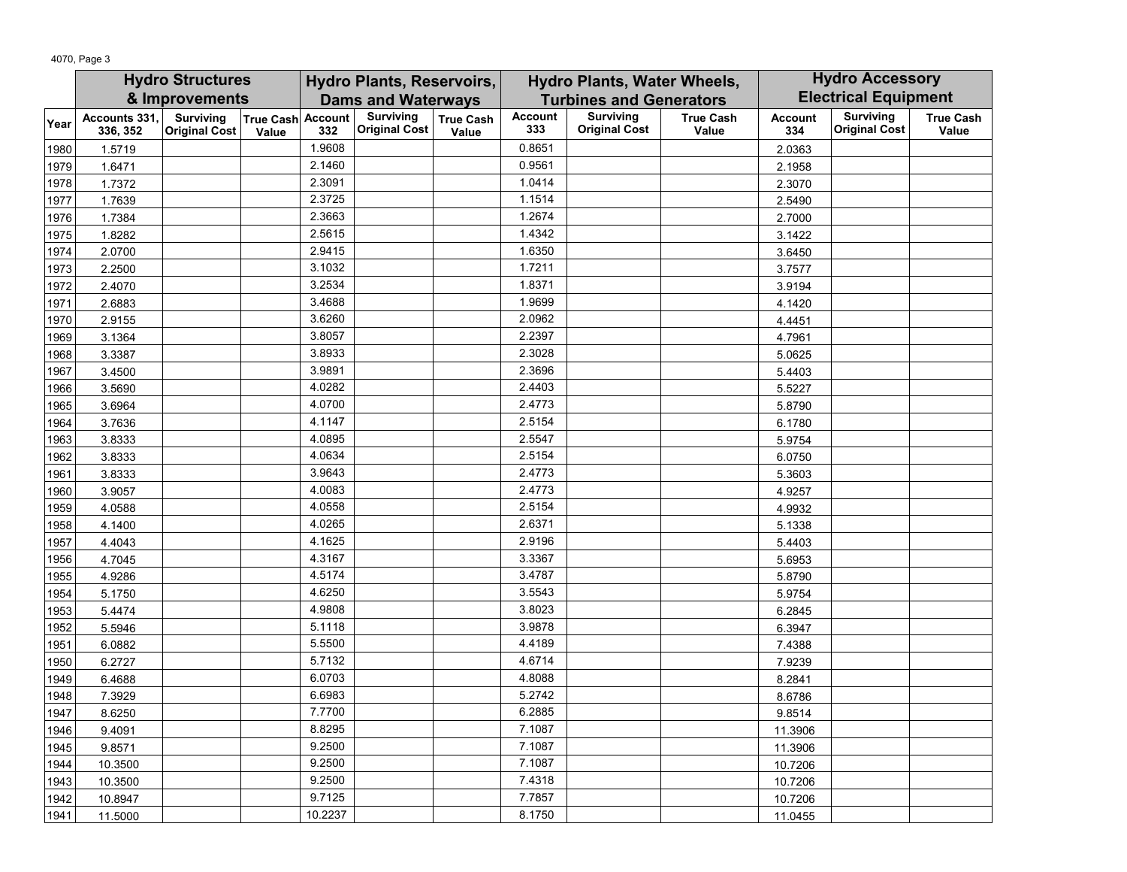4070, Page 3

|      | <b>Hydro Structures</b>   |                                          | <b>Hydro Plants, Reservoirs,</b> |         |                                          |                           | Hydro Plants, Water Wheels,    |                                          | <b>Hydro Accessory</b>    |                             |                                          |                           |
|------|---------------------------|------------------------------------------|----------------------------------|---------|------------------------------------------|---------------------------|--------------------------------|------------------------------------------|---------------------------|-----------------------------|------------------------------------------|---------------------------|
|      |                           | & Improvements                           |                                  |         | <b>Dams and Waterways</b>                |                           | <b>Turbines and Generators</b> |                                          |                           | <b>Electrical Equipment</b> |                                          |                           |
| Year | Accounts 331,<br>336, 352 | <b>Surviving</b><br><b>Original Cost</b> | True Cash Account<br>Value       | 332     | <b>Surviving</b><br><b>Original Cost</b> | <b>True Cash</b><br>Value | <b>Account</b><br>333          | <b>Surviving</b><br><b>Original Cost</b> | <b>True Cash</b><br>Value | <b>Account</b><br>334       | <b>Surviving</b><br><b>Original Cost</b> | <b>True Cash</b><br>Value |
| 1980 | 1.5719                    |                                          |                                  | 1.9608  |                                          |                           | 0.8651                         |                                          |                           | 2.0363                      |                                          |                           |
| 1979 | 1.6471                    |                                          |                                  | 2.1460  |                                          |                           | 0.9561                         |                                          |                           | 2.1958                      |                                          |                           |
| 1978 | 1.7372                    |                                          |                                  | 2.3091  |                                          |                           | 1.0414                         |                                          |                           | 2.3070                      |                                          |                           |
| 1977 | 1.7639                    |                                          |                                  | 2.3725  |                                          |                           | 1.1514                         |                                          |                           | 2.5490                      |                                          |                           |
| 1976 | 1.7384                    |                                          |                                  | 2.3663  |                                          |                           | 1.2674                         |                                          |                           | 2.7000                      |                                          |                           |
| 1975 | 1.8282                    |                                          |                                  | 2.5615  |                                          |                           | 1.4342                         |                                          |                           | 3.1422                      |                                          |                           |
| 1974 | 2.0700                    |                                          |                                  | 2.9415  |                                          |                           | 1.6350                         |                                          |                           | 3.6450                      |                                          |                           |
| 1973 | 2.2500                    |                                          |                                  | 3.1032  |                                          |                           | 1.7211                         |                                          |                           | 3.7577                      |                                          |                           |
| 1972 | 2.4070                    |                                          |                                  | 3.2534  |                                          |                           | 1.8371                         |                                          |                           | 3.9194                      |                                          |                           |
| 1971 | 2.6883                    |                                          |                                  | 3.4688  |                                          |                           | 1.9699                         |                                          |                           | 4.1420                      |                                          |                           |
| 1970 | 2.9155                    |                                          |                                  | 3.6260  |                                          |                           | 2.0962                         |                                          |                           | 4.4451                      |                                          |                           |
| 1969 | 3.1364                    |                                          |                                  | 3.8057  |                                          |                           | 2.2397                         |                                          |                           | 4.7961                      |                                          |                           |
| 1968 | 3.3387                    |                                          |                                  | 3.8933  |                                          |                           | 2.3028                         |                                          |                           | 5.0625                      |                                          |                           |
| 1967 | 3.4500                    |                                          |                                  | 3.9891  |                                          |                           | 2.3696                         |                                          |                           | 5.4403                      |                                          |                           |
| 1966 | 3.5690                    |                                          |                                  | 4.0282  |                                          |                           | 2.4403                         |                                          |                           | 5.5227                      |                                          |                           |
| 1965 | 3.6964                    |                                          |                                  | 4.0700  |                                          |                           | 2.4773                         |                                          |                           | 5.8790                      |                                          |                           |
| 1964 | 3.7636                    |                                          |                                  | 4.1147  |                                          |                           | 2.5154                         |                                          |                           | 6.1780                      |                                          |                           |
| 1963 | 3.8333                    |                                          |                                  | 4.0895  |                                          |                           | 2.5547                         |                                          |                           | 5.9754                      |                                          |                           |
| 1962 | 3.8333                    |                                          |                                  | 4.0634  |                                          |                           | 2.5154                         |                                          |                           | 6.0750                      |                                          |                           |
| 1961 | 3.8333                    |                                          |                                  | 3.9643  |                                          |                           | 2.4773                         |                                          |                           | 5.3603                      |                                          |                           |
| 1960 | 3.9057                    |                                          |                                  | 4.0083  |                                          |                           | 2.4773                         |                                          |                           | 4.9257                      |                                          |                           |
| 1959 | 4.0588                    |                                          |                                  | 4.0558  |                                          |                           | 2.5154                         |                                          |                           | 4.9932                      |                                          |                           |
| 1958 | 4.1400                    |                                          |                                  | 4.0265  |                                          |                           | 2.6371                         |                                          |                           | 5.1338                      |                                          |                           |
| 1957 | 4.4043                    |                                          |                                  | 4.1625  |                                          |                           | 2.9196                         |                                          |                           | 5.4403                      |                                          |                           |
| 1956 | 4.7045                    |                                          |                                  | 4.3167  |                                          |                           | 3.3367                         |                                          |                           | 5.6953                      |                                          |                           |
| 1955 | 4.9286                    |                                          |                                  | 4.5174  |                                          |                           | 3.4787                         |                                          |                           | 5.8790                      |                                          |                           |
| 1954 | 5.1750                    |                                          |                                  | 4.6250  |                                          |                           | 3.5543                         |                                          |                           | 5.9754                      |                                          |                           |
| 1953 | 5.4474                    |                                          |                                  | 4.9808  |                                          |                           | 3.8023                         |                                          |                           | 6.2845                      |                                          |                           |
| 1952 | 5.5946                    |                                          |                                  | 5.1118  |                                          |                           | 3.9878                         |                                          |                           | 6.3947                      |                                          |                           |
| 1951 | 6.0882                    |                                          |                                  | 5.5500  |                                          |                           | 4.4189                         |                                          |                           | 7.4388                      |                                          |                           |
| 1950 | 6.2727                    |                                          |                                  | 5.7132  |                                          |                           | 4.6714                         |                                          |                           | 7.9239                      |                                          |                           |
| 1949 | 6.4688                    |                                          |                                  | 6.0703  |                                          |                           | 4.8088                         |                                          |                           | 8.2841                      |                                          |                           |
| 1948 | 7.3929                    |                                          |                                  | 6.6983  |                                          |                           | 5.2742                         |                                          |                           | 8.6786                      |                                          |                           |
| 1947 | 8.6250                    |                                          |                                  | 7.7700  |                                          |                           | 6.2885                         |                                          |                           | 9.8514                      |                                          |                           |
| 1946 | 9.4091                    |                                          |                                  | 8.8295  |                                          |                           | 7.1087                         |                                          |                           | 11.3906                     |                                          |                           |
| 1945 | 9.8571                    |                                          |                                  | 9.2500  |                                          |                           | 7.1087                         |                                          |                           | 11.3906                     |                                          |                           |
| 1944 | 10.3500                   |                                          |                                  | 9.2500  |                                          |                           | 7.1087                         |                                          |                           | 10.7206                     |                                          |                           |
| 1943 | 10.3500                   |                                          |                                  | 9.2500  |                                          |                           | 7.4318                         |                                          |                           | 10.7206                     |                                          |                           |
| 1942 | 10.8947                   |                                          |                                  | 9.7125  |                                          |                           | 7.7857                         |                                          |                           | 10.7206                     |                                          |                           |
| 1941 | 11.5000                   |                                          |                                  | 10.2237 |                                          |                           | 8.1750                         |                                          |                           | 11.0455                     |                                          |                           |